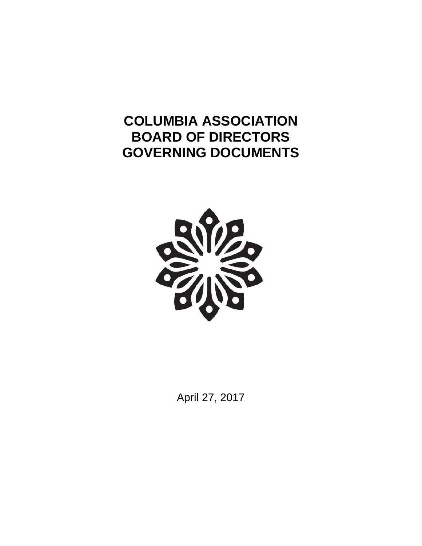# **COLUMBIA ASSOCIATION BOARD OF DIRECTORS GOVERNING DOCUMENTS**



April 27, 2017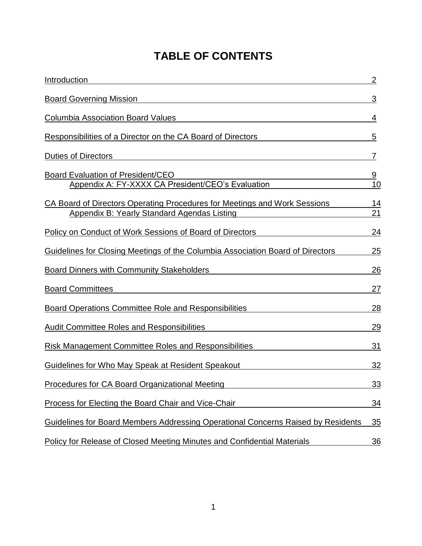# **TABLE OF CONTENTS**

| Introduction                                                                                                                    | $\overline{2}$ |
|---------------------------------------------------------------------------------------------------------------------------------|----------------|
| <b>Board Governing Mission</b>                                                                                                  | 3              |
| <b>Columbia Association Board Values</b>                                                                                        | 4              |
| Responsibilities of a Director on the CA Board of Directors                                                                     | 5              |
| <b>Duties of Directors</b>                                                                                                      | 7              |
| Board Evaluation of President/CEO<br>Appendix A: FY-XXXX CA President/CEO's Evaluation                                          | <u>9</u><br>10 |
| CA Board of Directors Operating Procedures for Meetings and Work Sessions<br><b>Appendix B: Yearly Standard Agendas Listing</b> | 14<br>21       |
| <b>Policy on Conduct of Work Sessions of Board of Directors</b>                                                                 | 24             |
| Guidelines for Closing Meetings of the Columbia Association Board of Directors                                                  | 25             |
| <b>Board Dinners with Community Stakeholders</b>                                                                                | 26             |
| <b>Board Committees</b>                                                                                                         | 27             |
| Board Operations Committee Role and Responsibilities                                                                            | 28             |
| <b>Audit Committee Roles and Responsibilities</b>                                                                               | 29             |
| <b>Risk Management Committee Roles and Responsibilities</b>                                                                     | 31             |
| Guidelines for Who May Speak at Resident Speakout                                                                               | 32             |
| Procedures for CA Board Organizational Meeting                                                                                  | <u>33</u>      |
| <b>Process for Electing the Board Chair and Vice-Chair</b>                                                                      | <u>34</u>      |
| Guidelines for Board Members Addressing Operational Concerns Raised by Residents                                                | 35             |
| Policy for Release of Closed Meeting Minutes and Confidential Materials                                                         | <u>36</u>      |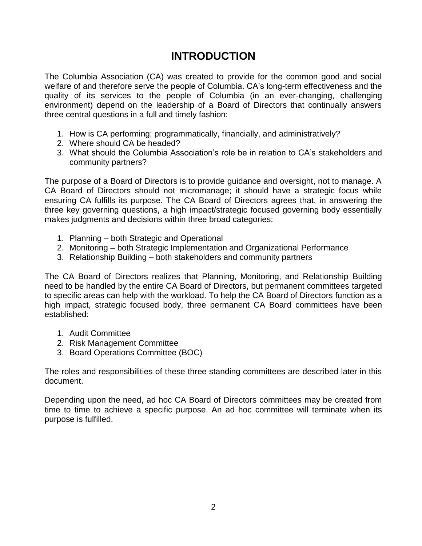### **INTRODUCTION**

The Columbia Association (CA) was created to provide for the common good and social welfare of and therefore serve the people of Columbia. CA's long-term effectiveness and the quality of its services to the people of Columbia (in an ever-changing, challenging environment) depend on the leadership of a Board of Directors that continually answers three central questions in a full and timely fashion:

- 1. How is CA performing; programmatically, financially, and administratively?
- 2. Where should CA be headed?
- 3. What should the Columbia Association's role be in relation to CA's stakeholders and community partners?

The purpose of a Board of Directors is to provide guidance and oversight, not to manage. A CA Board of Directors should not micromanage; it should have a strategic focus while ensuring CA fulfills its purpose. The CA Board of Directors agrees that, in answering the three key governing questions, a high impact/strategic focused governing body essentially makes judgments and decisions within three broad categories:

- 1. Planning both Strategic and Operational
- 2. Monitoring both Strategic Implementation and Organizational Performance
- 3. Relationship Building both stakeholders and community partners

The CA Board of Directors realizes that Planning, Monitoring, and Relationship Building need to be handled by the entire CA Board of Directors, but permanent committees targeted to specific areas can help with the workload. To help the CA Board of Directors function as a high impact, strategic focused body, three permanent CA Board committees have been established:

- 1. Audit Committee
- 2. Risk Management Committee
- 3. Board Operations Committee (BOC)

The roles and responsibilities of these three standing committees are described later in this document.

Depending upon the need, ad hoc CA Board of Directors committees may be created from time to time to achieve a specific purpose. An ad hoc committee will terminate when its purpose is fulfilled.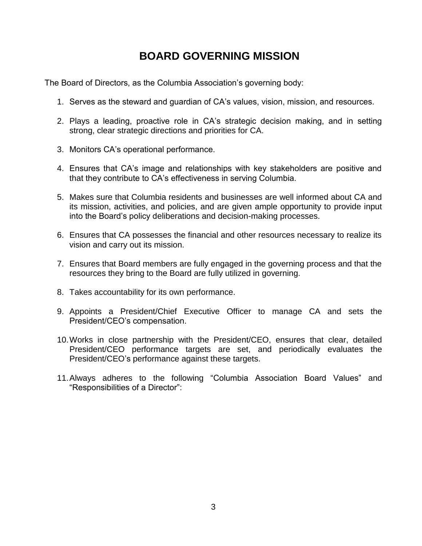## **BOARD GOVERNING MISSION**

The Board of Directors, as the Columbia Association's governing body:

- 1. Serves as the steward and guardian of CA's values, vision, mission, and resources.
- 2. Plays a leading, proactive role in CA's strategic decision making, and in setting strong, clear strategic directions and priorities for CA.
- 3. Monitors CA's operational performance.
- 4. Ensures that CA's image and relationships with key stakeholders are positive and that they contribute to CA's effectiveness in serving Columbia.
- 5. Makes sure that Columbia residents and businesses are well informed about CA and its mission, activities, and policies, and are given ample opportunity to provide input into the Board's policy deliberations and decision-making processes.
- 6. Ensures that CA possesses the financial and other resources necessary to realize its vision and carry out its mission.
- 7. Ensures that Board members are fully engaged in the governing process and that the resources they bring to the Board are fully utilized in governing.
- 8. Takes accountability for its own performance.
- 9. Appoints a President/Chief Executive Officer to manage CA and sets the President/CEO's compensation.
- 10.Works in close partnership with the President/CEO, ensures that clear, detailed President/CEO performance targets are set, and periodically evaluates the President/CEO's performance against these targets.
- 11.Always adheres to the following "Columbia Association Board Values" and "Responsibilities of a Director":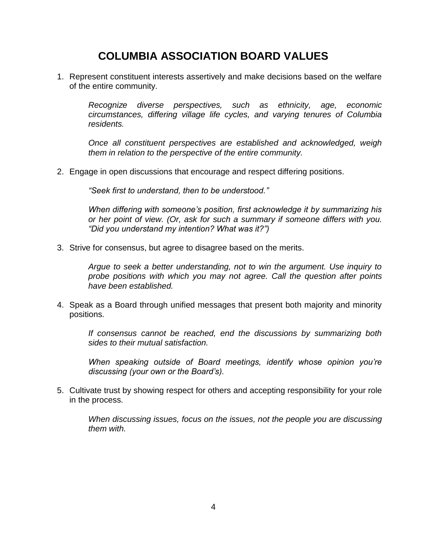## **COLUMBIA ASSOCIATION BOARD VALUES**

1. Represent constituent interests assertively and make decisions based on the welfare of the entire community.

*Recognize diverse perspectives, such as ethnicity, age, economic circumstances, differing village life cycles, and varying tenures of Columbia residents.*

*Once all constituent perspectives are established and acknowledged, weigh them in relation to the perspective of the entire community.*

2. Engage in open discussions that encourage and respect differing positions.

*"Seek first to understand, then to be understood."*

*When differing with someone's position, first acknowledge it by summarizing his or her point of view. (Or, ask for such a summary if someone differs with you. "Did you understand my intention? What was it?")*

3. Strive for consensus, but agree to disagree based on the merits.

*Argue to seek a better understanding, not to win the argument. Use inquiry to probe positions with which you may not agree. Call the question after points have been established.*

4. Speak as a Board through unified messages that present both majority and minority positions.

*If consensus cannot be reached, end the discussions by summarizing both sides to their mutual satisfaction.*

*When speaking outside of Board meetings, identify whose opinion you're discussing (your own or the Board's).*

5. Cultivate trust by showing respect for others and accepting responsibility for your role in the process.

*When discussing issues, focus on the issues, not the people you are discussing them with.*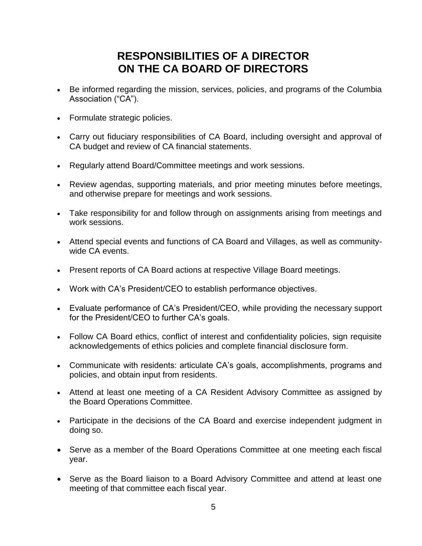## **RESPONSIBILITIES OF A DIRECTOR ON THE CA BOARD OF DIRECTORS**

- Be informed regarding the mission, services, policies, and programs of the Columbia Association ("CA").
- Formulate strategic policies.
- Carry out fiduciary responsibilities of CA Board, including oversight and approval of CA budget and review of CA financial statements.
- Regularly attend Board/Committee meetings and work sessions.
- Review agendas, supporting materials, and prior meeting minutes before meetings, and otherwise prepare for meetings and work sessions.
- Take responsibility for and follow through on assignments arising from meetings and work sessions.
- Attend special events and functions of CA Board and Villages, as well as communitywide CA events.
- Present reports of CA Board actions at respective Village Board meetings.
- Work with CA's President/CEO to establish performance objectives.
- Evaluate performance of CA's President/CEO, while providing the necessary support for the President/CEO to further CA's goals.
- Follow CA Board ethics, conflict of interest and confidentiality policies, sign requisite acknowledgements of ethics policies and complete financial disclosure form.
- Communicate with residents: articulate CA's goals, accomplishments, programs and policies, and obtain input from residents.
- Attend at least one meeting of a CA Resident Advisory Committee as assigned by the Board Operations Committee.
- Participate in the decisions of the CA Board and exercise independent judgment in doing so.
- Serve as a member of the Board Operations Committee at one meeting each fiscal year.
- Serve as the Board liaison to a Board Advisory Committee and attend at least one meeting of that committee each fiscal year.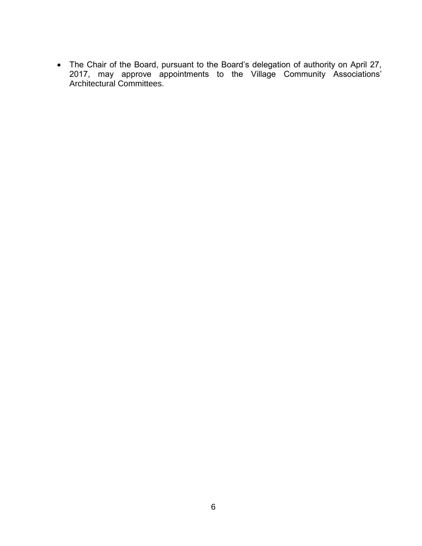The Chair of the Board, pursuant to the Board's delegation of authority on April 27, 2017, may approve appointments to the Village Community Associations' Architectural Committees.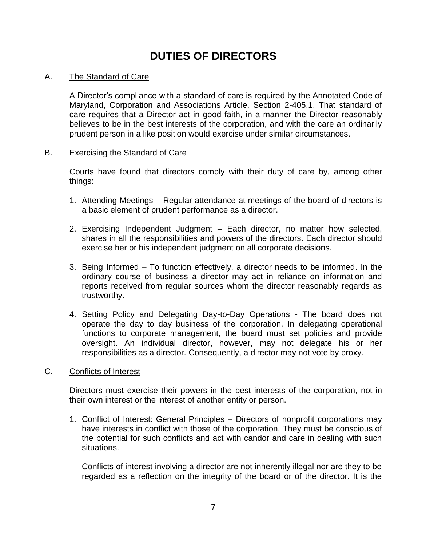# **DUTIES OF DIRECTORS**

#### A. The Standard of Care

A Director's compliance with a standard of care is required by the Annotated Code of Maryland, Corporation and Associations Article, Section 2-405.1. That standard of care requires that a Director act in good faith, in a manner the Director reasonably believes to be in the best interests of the corporation, and with the care an ordinarily prudent person in a like position would exercise under similar circumstances.

#### B. Exercising the Standard of Care

Courts have found that directors comply with their duty of care by, among other things:

- 1. Attending Meetings Regular attendance at meetings of the board of directors is a basic element of prudent performance as a director.
- 2. Exercising Independent Judgment Each director, no matter how selected, shares in all the responsibilities and powers of the directors. Each director should exercise her or his independent judgment on all corporate decisions.
- 3. Being Informed To function effectively, a director needs to be informed. In the ordinary course of business a director may act in reliance on information and reports received from regular sources whom the director reasonably regards as trustworthy.
- 4. Setting Policy and Delegating Day-to-Day Operations The board does not operate the day to day business of the corporation. In delegating operational functions to corporate management, the board must set policies and provide oversight. An individual director, however, may not delegate his or her responsibilities as a director. Consequently, a director may not vote by proxy.

#### C. Conflicts of Interest

Directors must exercise their powers in the best interests of the corporation, not in their own interest or the interest of another entity or person.

1. Conflict of Interest: General Principles – Directors of nonprofit corporations may have interests in conflict with those of the corporation. They must be conscious of the potential for such conflicts and act with candor and care in dealing with such situations.

Conflicts of interest involving a director are not inherently illegal nor are they to be regarded as a reflection on the integrity of the board or of the director. It is the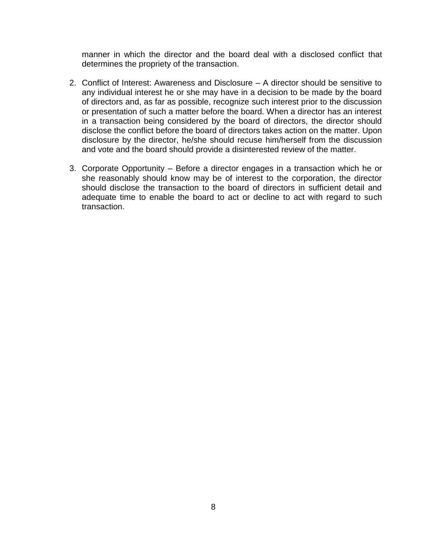manner in which the director and the board deal with a disclosed conflict that determines the propriety of the transaction.

- 2. Conflict of Interest: Awareness and Disclosure A director should be sensitive to any individual interest he or she may have in a decision to be made by the board of directors and, as far as possible, recognize such interest prior to the discussion or presentation of such a matter before the board. When a director has an interest in a transaction being considered by the board of directors, the director should disclose the conflict before the board of directors takes action on the matter. Upon disclosure by the director, he/she should recuse him/herself from the discussion and vote and the board should provide a disinterested review of the matter.
- 3. Corporate Opportunity Before a director engages in a transaction which he or she reasonably should know may be of interest to the corporation, the director should disclose the transaction to the board of directors in sufficient detail and adequate time to enable the board to act or decline to act with regard to such transaction.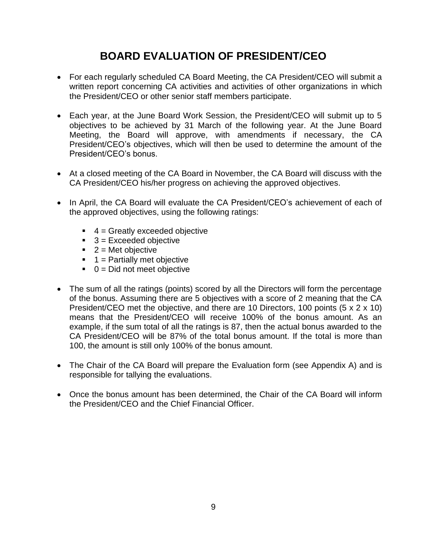# **BOARD EVALUATION OF PRESIDENT/CEO**

- For each regularly scheduled CA Board Meeting, the CA President/CEO will submit a written report concerning CA activities and activities of other organizations in which the President/CEO or other senior staff members participate.
- Each year, at the June Board Work Session, the President/CEO will submit up to 5 objectives to be achieved by 31 March of the following year. At the June Board Meeting, the Board will approve, with amendments if necessary, the CA President/CEO's objectives, which will then be used to determine the amount of the President/CEO's bonus.
- At a closed meeting of the CA Board in November, the CA Board will discuss with the CA President/CEO his/her progress on achieving the approved objectives.
- In April, the CA Board will evaluate the CA President/CEO's achievement of each of the approved objectives, using the following ratings:
	- $\blacksquare$  4 = Greatly exceeded objective
	- $\blacksquare$  3 = Exceeded objective
	- $2$  = Met objective
	- $\blacksquare$  1 = Partially met objective
	- $\bullet$  0 = Did not meet objective
- The sum of all the ratings (points) scored by all the Directors will form the percentage of the bonus. Assuming there are 5 objectives with a score of 2 meaning that the CA President/CEO met the objective, and there are 10 Directors, 100 points (5 x 2 x 10) means that the President/CEO will receive 100% of the bonus amount. As an example, if the sum total of all the ratings is 87, then the actual bonus awarded to the CA President/CEO will be 87% of the total bonus amount. If the total is more than 100, the amount is still only 100% of the bonus amount.
- The Chair of the CA Board will prepare the Evaluation form (see Appendix A) and is responsible for tallying the evaluations.
- Once the bonus amount has been determined, the Chair of the CA Board will inform the President/CEO and the Chief Financial Officer.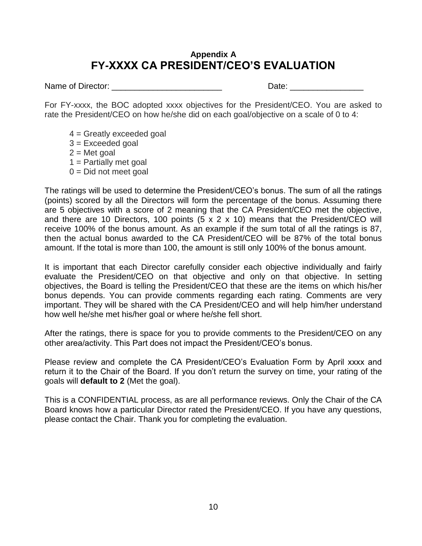### **Appendix A FY-XXXX CA PRESIDENT/CEO'S EVALUATION**

Name of Director: \_\_\_\_\_\_\_\_\_\_\_\_\_\_\_\_\_\_\_\_\_\_\_\_ Date: \_\_\_\_\_\_\_\_\_\_\_\_\_\_\_\_

For FY-xxxx, the BOC adopted xxxx objectives for the President/CEO. You are asked to rate the President/CEO on how he/she did on each goal/objective on a scale of 0 to 4:

- $4 =$  Greatly exceeded goal  $3 =$  Exceeded goal  $2 =$  Met goal
- $1$  = Partially met goal
- $0 = Did not meet goal$

The ratings will be used to determine the President/CEO's bonus. The sum of all the ratings (points) scored by all the Directors will form the percentage of the bonus. Assuming there are 5 objectives with a score of 2 meaning that the CA President/CEO met the objective, and there are 10 Directors, 100 points (5 x 2 x 10) means that the President/CEO will receive 100% of the bonus amount. As an example if the sum total of all the ratings is 87, then the actual bonus awarded to the CA President/CEO will be 87% of the total bonus amount. If the total is more than 100, the amount is still only 100% of the bonus amount.

It is important that each Director carefully consider each objective individually and fairly evaluate the President/CEO on that objective and only on that objective. In setting objectives, the Board is telling the President/CEO that these are the items on which his/her bonus depends. You can provide comments regarding each rating. Comments are very important. They will be shared with the CA President/CEO and will help him/her understand how well he/she met his/her goal or where he/she fell short.

After the ratings, there is space for you to provide comments to the President/CEO on any other area/activity. This Part does not impact the President/CEO's bonus.

Please review and complete the CA President/CEO's Evaluation Form by April xxxx and return it to the Chair of the Board. If you don't return the survey on time, your rating of the goals will **default to 2** (Met the goal).

This is a CONFIDENTIAL process, as are all performance reviews. Only the Chair of the CA Board knows how a particular Director rated the President/CEO. If you have any questions, please contact the Chair. Thank you for completing the evaluation.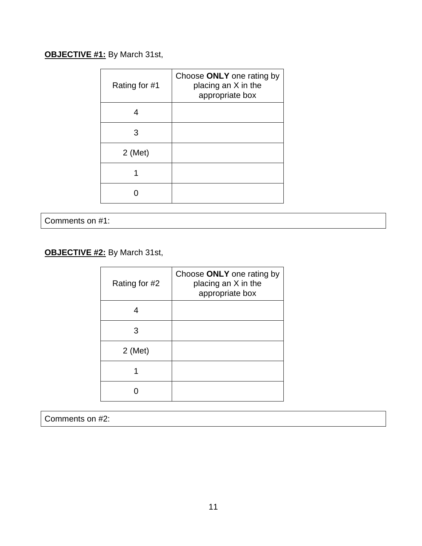### **OBJECTIVE #1:** By March 31st,

| Rating for #1 | Choose ONLY one rating by<br>placing an X in the<br>appropriate box |
|---------------|---------------------------------------------------------------------|
|               |                                                                     |
| 3             |                                                                     |
| $2$ (Met)     |                                                                     |
|               |                                                                     |
|               |                                                                     |

Comments on #1:

**OBJECTIVE #2:** By March 31st,

| Rating for #2 | Choose ONLY one rating by<br>placing an X in the<br>appropriate box |
|---------------|---------------------------------------------------------------------|
|               |                                                                     |
| З             |                                                                     |
| $2$ (Met)     |                                                                     |
|               |                                                                     |
|               |                                                                     |

Comments on #2: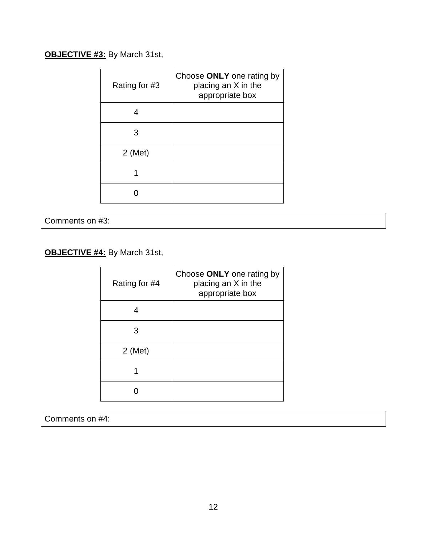### **OBJECTIVE #3:** By March 31st,

| Rating for #3 | Choose ONLY one rating by<br>placing an X in the<br>appropriate box |
|---------------|---------------------------------------------------------------------|
|               |                                                                     |
| 3             |                                                                     |
| $2$ (Met)     |                                                                     |
|               |                                                                     |
|               |                                                                     |

Comments on #3:

**OBJECTIVE #4:** By March 31st,

| Rating for #4 | Choose ONLY one rating by<br>placing an X in the<br>appropriate box |
|---------------|---------------------------------------------------------------------|
|               |                                                                     |
| З             |                                                                     |
| $2$ (Met)     |                                                                     |
|               |                                                                     |
|               |                                                                     |

Comments on #4: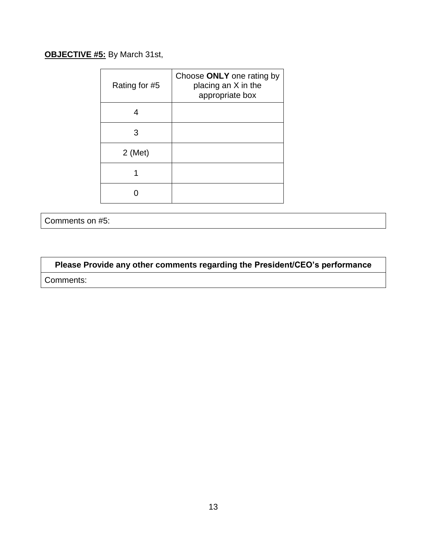### **OBJECTIVE #5:** By March 31st,

| Rating for #5 | Choose ONLY one rating by<br>placing an X in the<br>appropriate box |
|---------------|---------------------------------------------------------------------|
|               |                                                                     |
| З             |                                                                     |
| $2$ (Met)     |                                                                     |
|               |                                                                     |
|               |                                                                     |

Comments on #5:

**Please Provide any other comments regarding the President/CEO's performance** Comments: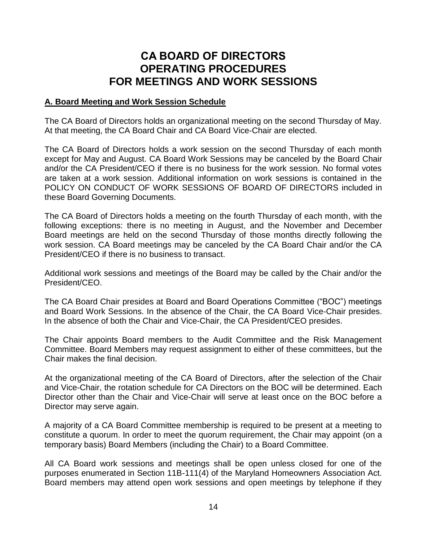### **CA BOARD OF DIRECTORS OPERATING PROCEDURES FOR MEETINGS AND WORK SESSIONS**

#### **A. Board Meeting and Work Session Schedule**

The CA Board of Directors holds an organizational meeting on the second Thursday of May. At that meeting, the CA Board Chair and CA Board Vice-Chair are elected.

The CA Board of Directors holds a work session on the second Thursday of each month except for May and August. CA Board Work Sessions may be canceled by the Board Chair and/or the CA President/CEO if there is no business for the work session. No formal votes are taken at a work session. Additional information on work sessions is contained in the POLICY ON CONDUCT OF WORK SESSIONS OF BOARD OF DIRECTORS included in these Board Governing Documents.

The CA Board of Directors holds a meeting on the fourth Thursday of each month, with the following exceptions: there is no meeting in August, and the November and December Board meetings are held on the second Thursday of those months directly following the work session. CA Board meetings may be canceled by the CA Board Chair and/or the CA President/CEO if there is no business to transact.

Additional work sessions and meetings of the Board may be called by the Chair and/or the President/CEO.

The CA Board Chair presides at Board and Board Operations Committee ("BOC") meetings and Board Work Sessions. In the absence of the Chair, the CA Board Vice-Chair presides. In the absence of both the Chair and Vice-Chair, the CA President/CEO presides.

The Chair appoints Board members to the Audit Committee and the Risk Management Committee. Board Members may request assignment to either of these committees, but the Chair makes the final decision.

At the organizational meeting of the CA Board of Directors, after the selection of the Chair and Vice-Chair, the rotation schedule for CA Directors on the BOC will be determined. Each Director other than the Chair and Vice-Chair will serve at least once on the BOC before a Director may serve again.

A majority of a CA Board Committee membership is required to be present at a meeting to constitute a quorum. In order to meet the quorum requirement, the Chair may appoint (on a temporary basis) Board Members (including the Chair) to a Board Committee.

All CA Board work sessions and meetings shall be open unless closed for one of the purposes enumerated in Section 11B-111(4) of the Maryland Homeowners Association Act. Board members may attend open work sessions and open meetings by telephone if they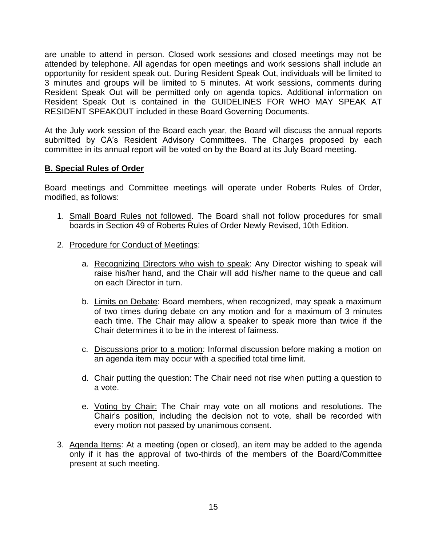are unable to attend in person. Closed work sessions and closed meetings may not be attended by telephone. All agendas for open meetings and work sessions shall include an opportunity for resident speak out. During Resident Speak Out, individuals will be limited to 3 minutes and groups will be limited to 5 minutes. At work sessions, comments during Resident Speak Out will be permitted only on agenda topics. Additional information on Resident Speak Out is contained in the GUIDELINES FOR WHO MAY SPEAK AT RESIDENT SPEAKOUT included in these Board Governing Documents.

At the July work session of the Board each year, the Board will discuss the annual reports submitted by CA's Resident Advisory Committees. The Charges proposed by each committee in its annual report will be voted on by the Board at its July Board meeting.

#### **B. Special Rules of Order**

Board meetings and Committee meetings will operate under Roberts Rules of Order, modified, as follows:

- 1. Small Board Rules not followed. The Board shall not follow procedures for small boards in Section 49 of Roberts Rules of Order Newly Revised, 10th Edition.
- 2. Procedure for Conduct of Meetings:
	- a. Recognizing Directors who wish to speak: Any Director wishing to speak will raise his/her hand, and the Chair will add his/her name to the queue and call on each Director in turn.
	- b. Limits on Debate: Board members, when recognized, may speak a maximum of two times during debate on any motion and for a maximum of 3 minutes each time. The Chair may allow a speaker to speak more than twice if the Chair determines it to be in the interest of fairness.
	- c. Discussions prior to a motion: Informal discussion before making a motion on an agenda item may occur with a specified total time limit.
	- d. Chair putting the question: The Chair need not rise when putting a question to a vote.
	- e. Voting by Chair: The Chair may vote on all motions and resolutions. The Chair's position, including the decision not to vote, shall be recorded with every motion not passed by unanimous consent.
- 3. Agenda Items: At a meeting (open or closed), an item may be added to the agenda only if it has the approval of two-thirds of the members of the Board/Committee present at such meeting.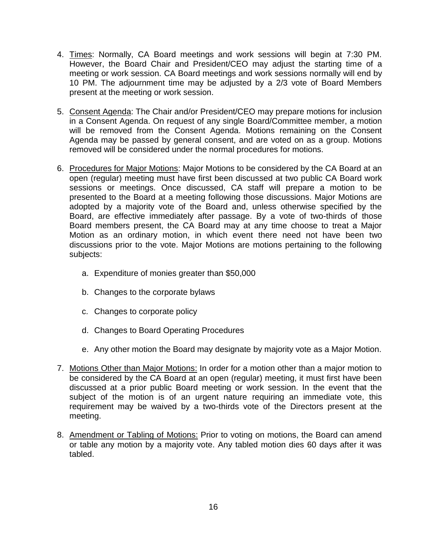- 4. Times: Normally, CA Board meetings and work sessions will begin at 7:30 PM. However, the Board Chair and President/CEO may adjust the starting time of a meeting or work session. CA Board meetings and work sessions normally will end by 10 PM. The adjournment time may be adjusted by a 2/3 vote of Board Members present at the meeting or work session.
- 5. Consent Agenda: The Chair and/or President/CEO may prepare motions for inclusion in a Consent Agenda. On request of any single Board/Committee member, a motion will be removed from the Consent Agenda. Motions remaining on the Consent Agenda may be passed by general consent, and are voted on as a group. Motions removed will be considered under the normal procedures for motions.
- 6. Procedures for Major Motions: Major Motions to be considered by the CA Board at an open (regular) meeting must have first been discussed at two public CA Board work sessions or meetings. Once discussed, CA staff will prepare a motion to be presented to the Board at a meeting following those discussions. Major Motions are adopted by a majority vote of the Board and, unless otherwise specified by the Board, are effective immediately after passage. By a vote of two-thirds of those Board members present, the CA Board may at any time choose to treat a Major Motion as an ordinary motion, in which event there need not have been two discussions prior to the vote. Major Motions are motions pertaining to the following subjects:
	- a. Expenditure of monies greater than \$50,000
	- b. Changes to the corporate bylaws
	- c. Changes to corporate policy
	- d. Changes to Board Operating Procedures
	- e. Any other motion the Board may designate by majority vote as a Major Motion.
- 7. Motions Other than Major Motions: In order for a motion other than a major motion to be considered by the CA Board at an open (regular) meeting, it must first have been discussed at a prior public Board meeting or work session. In the event that the subject of the motion is of an urgent nature requiring an immediate vote, this requirement may be waived by a two-thirds vote of the Directors present at the meeting.
- 8. Amendment or Tabling of Motions: Prior to voting on motions, the Board can amend or table any motion by a majority vote. Any tabled motion dies 60 days after it was tabled.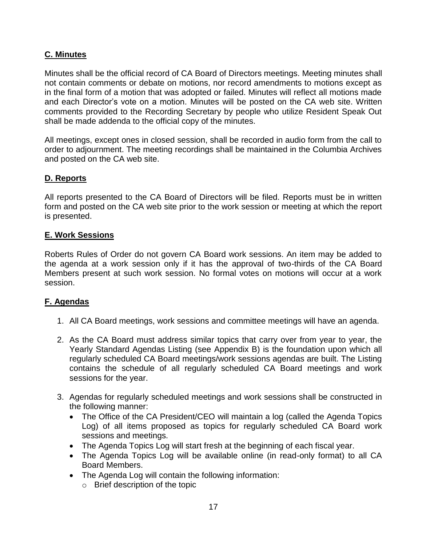#### **C. Minutes**

Minutes shall be the official record of CA Board of Directors meetings. Meeting minutes shall not contain comments or debate on motions, nor record amendments to motions except as in the final form of a motion that was adopted or failed. Minutes will reflect all motions made and each Director's vote on a motion. Minutes will be posted on the CA web site. Written comments provided to the Recording Secretary by people who utilize Resident Speak Out shall be made addenda to the official copy of the minutes.

All meetings, except ones in closed session, shall be recorded in audio form from the call to order to adjournment. The meeting recordings shall be maintained in the Columbia Archives and posted on the CA web site.

#### **D. Reports**

All reports presented to the CA Board of Directors will be filed. Reports must be in written form and posted on the CA web site prior to the work session or meeting at which the report is presented.

#### **E. Work Sessions**

Roberts Rules of Order do not govern CA Board work sessions. An item may be added to the agenda at a work session only if it has the approval of two-thirds of the CA Board Members present at such work session. No formal votes on motions will occur at a work session.

#### **F. Agendas**

- 1. All CA Board meetings, work sessions and committee meetings will have an agenda.
- 2. As the CA Board must address similar topics that carry over from year to year, the Yearly Standard Agendas Listing (see Appendix B) is the foundation upon which all regularly scheduled CA Board meetings/work sessions agendas are built. The Listing contains the schedule of all regularly scheduled CA Board meetings and work sessions for the year.
- 3. Agendas for regularly scheduled meetings and work sessions shall be constructed in the following manner:
	- The Office of the CA President/CEO will maintain a log (called the Agenda Topics Log) of all items proposed as topics for regularly scheduled CA Board work sessions and meetings.
	- The Agenda Topics Log will start fresh at the beginning of each fiscal year.
	- The Agenda Topics Log will be available online (in read-only format) to all CA Board Members.
	- The Agenda Log will contain the following information:
		- o Brief description of the topic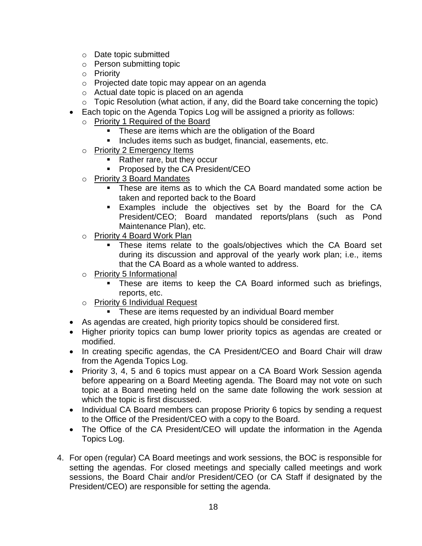- o Date topic submitted
- o Person submitting topic
- o Priority
- o Projected date topic may appear on an agenda
- o Actual date topic is placed on an agenda
- o Topic Resolution (what action, if any, did the Board take concerning the topic)
- Each topic on the Agenda Topics Log will be assigned a priority as follows:
	- o Priority 1 Required of the Board
		- **These are items which are the obligation of the Board**
		- **Includes items such as budget, financial, easements, etc.**
		- o Priority 2 Emergency Items
			- Rather rare, but they occur
			- **Proposed by the CA President/CEO**
		- o Priority 3 Board Mandates
			- These are items as to which the CA Board mandated some action be taken and reported back to the Board
			- **Examples include the objectives set by the Board for the CA** President/CEO; Board mandated reports/plans (such as Pond Maintenance Plan), etc.
		- o Priority 4 Board Work Plan
			- **These items relate to the goals/objectives which the CA Board set** during its discussion and approval of the yearly work plan; i.e., items that the CA Board as a whole wanted to address.
		- o Priority 5 Informational
			- These are items to keep the CA Board informed such as briefings, reports, etc.
		- o Priority 6 Individual Request
			- **These are items requested by an individual Board member**
- As agendas are created, high priority topics should be considered first.
- Higher priority topics can bump lower priority topics as agendas are created or modified.
- In creating specific agendas, the CA President/CEO and Board Chair will draw from the Agenda Topics Log.
- Priority 3, 4, 5 and 6 topics must appear on a CA Board Work Session agenda before appearing on a Board Meeting agenda. The Board may not vote on such topic at a Board meeting held on the same date following the work session at which the topic is first discussed.
- Individual CA Board members can propose Priority 6 topics by sending a request to the Office of the President/CEO with a copy to the Board.
- The Office of the CA President/CEO will update the information in the Agenda Topics Log.
- 4. For open (regular) CA Board meetings and work sessions, the BOC is responsible for setting the agendas. For closed meetings and specially called meetings and work sessions, the Board Chair and/or President/CEO (or CA Staff if designated by the President/CEO) are responsible for setting the agenda.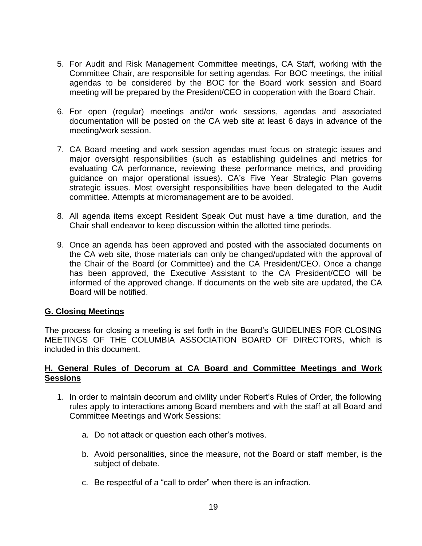- 5. For Audit and Risk Management Committee meetings, CA Staff, working with the Committee Chair, are responsible for setting agendas. For BOC meetings, the initial agendas to be considered by the BOC for the Board work session and Board meeting will be prepared by the President/CEO in cooperation with the Board Chair.
- 6. For open (regular) meetings and/or work sessions, agendas and associated documentation will be posted on the CA web site at least 6 days in advance of the meeting/work session.
- 7. CA Board meeting and work session agendas must focus on strategic issues and major oversight responsibilities (such as establishing guidelines and metrics for evaluating CA performance, reviewing these performance metrics, and providing guidance on major operational issues). CA's Five Year Strategic Plan governs strategic issues. Most oversight responsibilities have been delegated to the Audit committee. Attempts at micromanagement are to be avoided.
- 8. All agenda items except Resident Speak Out must have a time duration, and the Chair shall endeavor to keep discussion within the allotted time periods.
- 9. Once an agenda has been approved and posted with the associated documents on the CA web site, those materials can only be changed/updated with the approval of the Chair of the Board (or Committee) and the CA President/CEO. Once a change has been approved, the Executive Assistant to the CA President/CEO will be informed of the approved change. If documents on the web site are updated, the CA Board will be notified.

#### **G. Closing Meetings**

The process for closing a meeting is set forth in the Board's GUIDELINES FOR CLOSING MEETINGS OF THE COLUMBIA ASSOCIATION BOARD OF DIRECTORS, which is included in this document.

#### **H. General Rules of Decorum at CA Board and Committee Meetings and Work Sessions**

- 1. In order to maintain decorum and civility under Robert's Rules of Order, the following rules apply to interactions among Board members and with the staff at all Board and Committee Meetings and Work Sessions:
	- a. Do not attack or question each other's motives.
	- b. Avoid personalities, since the measure, not the Board or staff member, is the subject of debate.
	- c. Be respectful of a "call to order" when there is an infraction.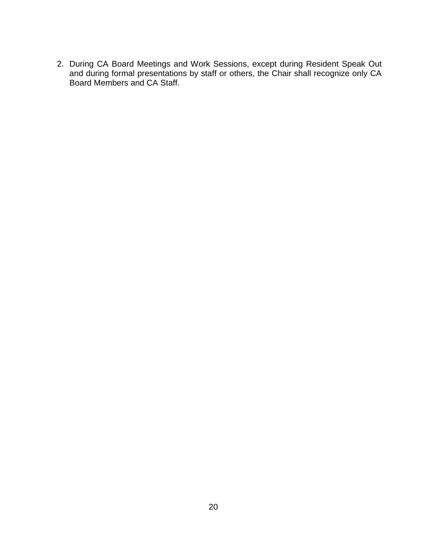2. During CA Board Meetings and Work Sessions, except during Resident Speak Out and during formal presentations by staff or others, the Chair shall recognize only CA Board Members and CA Staff.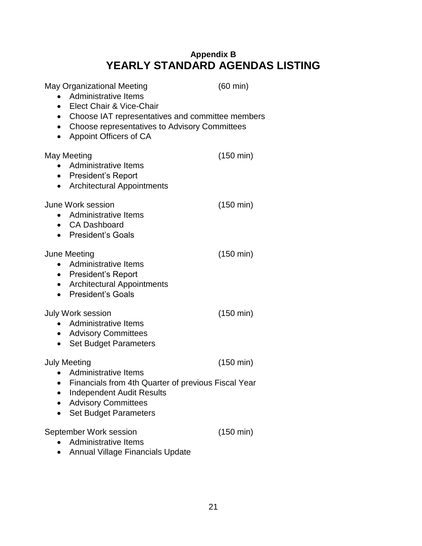### **Appendix B YEARLY STANDARD AGENDAS LISTING**

| May Organizational Meeting<br>• Administrative Items<br>• Elect Chair & Vice-Chair<br>$\bullet$  | • Choose representatives to Advisory Committees<br>Appoint Officers of CA                                                 | $(60 \text{ min})$<br>• Choose IAT representatives and committee members |
|--------------------------------------------------------------------------------------------------|---------------------------------------------------------------------------------------------------------------------------|--------------------------------------------------------------------------|
| May Meeting<br><b>Administrative Items</b><br>• President's Report<br>$\bullet$                  | <b>Architectural Appointments</b>                                                                                         | $(150 \text{ min})$                                                      |
| June Work session<br>• Administrative Items<br>• CA Dashboard<br>• President's Goals             |                                                                                                                           | $(150 \text{ min})$                                                      |
| June Meeting<br>Administrative Items<br>$\bullet$<br>• President's Report<br>• President's Goals | • Architectural Appointments                                                                                              | $(150 \text{ min})$                                                      |
| July Work session<br>• Administrative Items<br>• Advisory Committees<br>$\bullet$                | <b>Set Budget Parameters</b>                                                                                              | $(150 \text{ min})$                                                      |
| <b>July Meeting</b><br>• Administrative Items<br><b>Advisory Committees</b>                      | • Financials from 4th Quarter of previous Fiscal Year<br><b>Independent Audit Results</b><br><b>Set Budget Parameters</b> | $(150 \text{ min})$                                                      |
| September Work session<br><b>Administrative Items</b>                                            | <b>Annual Village Financials Update</b>                                                                                   | $(150 \text{ min})$                                                      |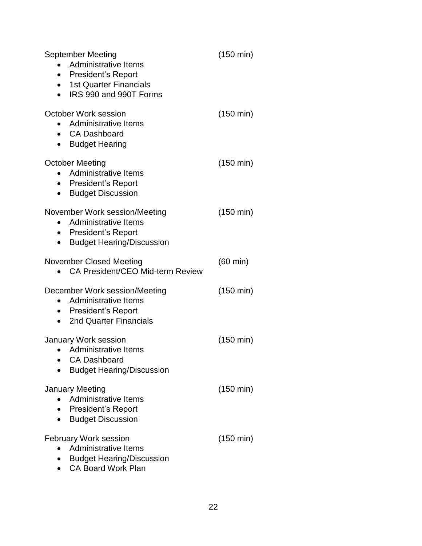| September Meeting<br>• Administrative Items<br>• President's Report<br>• 1st Quarter Financials<br>IRS 990 and 990T Forms      | $(150 \text{ min})$ |
|--------------------------------------------------------------------------------------------------------------------------------|---------------------|
| <b>October Work session</b><br>Administrative Items<br>• CA Dashboard<br><b>Budget Hearing</b>                                 | $(150 \text{ min})$ |
| <b>October Meeting</b><br>Administrative Items<br>• President's Report<br><b>Budget Discussion</b>                             | $(150 \text{ min})$ |
| November Work session/Meeting<br>Administrative Items<br>• President's Report<br><b>Budget Hearing/Discussion</b><br>$\bullet$ | $(150 \text{ min})$ |
| November Closed Meeting<br>CA President/CEO Mid-term Review                                                                    | $(60 \text{ min})$  |
| December Work session/Meeting<br>• Administrative Items<br>• President's Report<br>• 2nd Quarter Financials                    | $(150 \text{ min})$ |
| <b>January Work session</b><br><b>Administrative Items</b><br><b>CA Dashboard</b><br><b>Budget Hearing/Discussion</b>          | $(150 \text{ min})$ |
| <b>January Meeting</b><br>Administrative Items<br>President's Report<br><b>Budget Discussion</b>                               | $(150 \text{ min})$ |
| <b>February Work session</b><br>Administrative Items<br><b>Budget Hearing/Discussion</b><br><b>CA Board Work Plan</b>          | $(150 \text{ min})$ |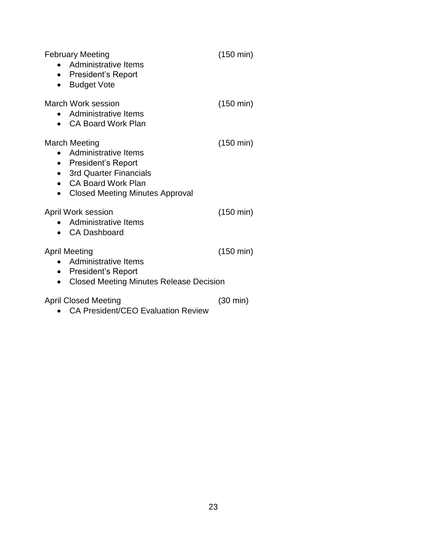| <b>February Meeting</b><br>Administrative Items<br>$\bullet$<br>• President's Report<br><b>Budget Vote</b><br>$\bullet$                                                  | $(150 \text{ min})$ |
|--------------------------------------------------------------------------------------------------------------------------------------------------------------------------|---------------------|
| <b>March Work session</b><br>Administrative Items<br>$\bullet$<br><b>CA Board Work Plan</b>                                                                              | $(150 \text{ min})$ |
| March Meeting<br>Administrative Items<br>• President's Report<br>• 3rd Quarter Financials<br>• CA Board Work Plan<br><b>Closed Meeting Minutes Approval</b><br>$\bullet$ | $(150 \text{ min})$ |
| April Work session<br>Administrative Items<br>$\bullet$<br>• CA Dashboard                                                                                                | $(150 \text{ min})$ |
| April Meeting<br>Administrative Items<br>$\bullet$<br>• President's Report<br><b>Closed Meeting Minutes Release Decision</b>                                             | $(150 \text{ min})$ |
| April Closed Meeting                                                                                                                                                     | (30 min)            |

CA President/CEO Evaluation Review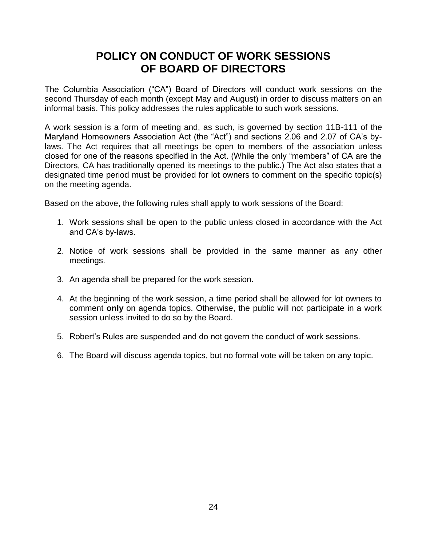### **POLICY ON CONDUCT OF WORK SESSIONS OF BOARD OF DIRECTORS**

The Columbia Association ("CA") Board of Directors will conduct work sessions on the second Thursday of each month (except May and August) in order to discuss matters on an informal basis. This policy addresses the rules applicable to such work sessions.

A work session is a form of meeting and, as such, is governed by section 11B-111 of the Maryland Homeowners Association Act (the "Act") and sections 2.06 and 2.07 of CA's bylaws. The Act requires that all meetings be open to members of the association unless closed for one of the reasons specified in the Act. (While the only "members" of CA are the Directors, CA has traditionally opened its meetings to the public.) The Act also states that a designated time period must be provided for lot owners to comment on the specific topic(s) on the meeting agenda.

Based on the above, the following rules shall apply to work sessions of the Board:

- 1. Work sessions shall be open to the public unless closed in accordance with the Act and CA's by-laws.
- 2. Notice of work sessions shall be provided in the same manner as any other meetings.
- 3. An agenda shall be prepared for the work session.
- 4. At the beginning of the work session, a time period shall be allowed for lot owners to comment **only** on agenda topics. Otherwise, the public will not participate in a work session unless invited to do so by the Board.
- 5. Robert's Rules are suspended and do not govern the conduct of work sessions.
- 6. The Board will discuss agenda topics, but no formal vote will be taken on any topic.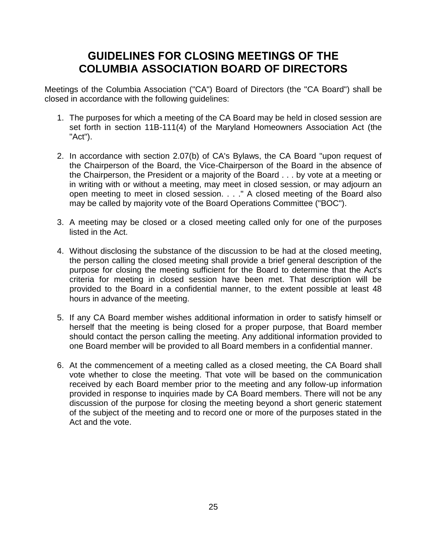## **GUIDELINES FOR CLOSING MEETINGS OF THE COLUMBIA ASSOCIATION BOARD OF DIRECTORS**

Meetings of the Columbia Association ("CA") Board of Directors (the "CA Board") shall be closed in accordance with the following guidelines:

- 1. The purposes for which a meeting of the CA Board may be held in closed session are set forth in section 11B-111(4) of the Maryland Homeowners Association Act (the "Act").
- 2. In accordance with section 2.07(b) of CA's Bylaws, the CA Board "upon request of the Chairperson of the Board, the Vice-Chairperson of the Board in the absence of the Chairperson, the President or a majority of the Board . . . by vote at a meeting or in writing with or without a meeting, may meet in closed session, or may adjourn an open meeting to meet in closed session. . . ." A closed meeting of the Board also may be called by majority vote of the Board Operations Committee ("BOC").
- 3. A meeting may be closed or a closed meeting called only for one of the purposes listed in the Act.
- 4. Without disclosing the substance of the discussion to be had at the closed meeting, the person calling the closed meeting shall provide a brief general description of the purpose for closing the meeting sufficient for the Board to determine that the Act's criteria for meeting in closed session have been met. That description will be provided to the Board in a confidential manner, to the extent possible at least 48 hours in advance of the meeting.
- 5. If any CA Board member wishes additional information in order to satisfy himself or herself that the meeting is being closed for a proper purpose, that Board member should contact the person calling the meeting. Any additional information provided to one Board member will be provided to all Board members in a confidential manner.
- 6. At the commencement of a meeting called as a closed meeting, the CA Board shall vote whether to close the meeting. That vote will be based on the communication received by each Board member prior to the meeting and any follow-up information provided in response to inquiries made by CA Board members. There will not be any discussion of the purpose for closing the meeting beyond a short generic statement of the subject of the meeting and to record one or more of the purposes stated in the Act and the vote.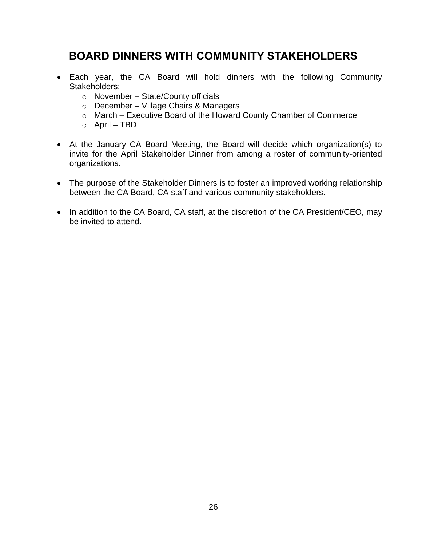## **BOARD DINNERS WITH COMMUNITY STAKEHOLDERS**

- Each year, the CA Board will hold dinners with the following Community Stakeholders:
	- $\circ$  November State/County officials
	- o December Village Chairs & Managers
	- o March Executive Board of the Howard County Chamber of Commerce
	- $\circ$  April TBD
- At the January CA Board Meeting, the Board will decide which organization(s) to invite for the April Stakeholder Dinner from among a roster of community-oriented organizations.
- The purpose of the Stakeholder Dinners is to foster an improved working relationship between the CA Board, CA staff and various community stakeholders.
- In addition to the CA Board, CA staff, at the discretion of the CA President/CEO, may be invited to attend.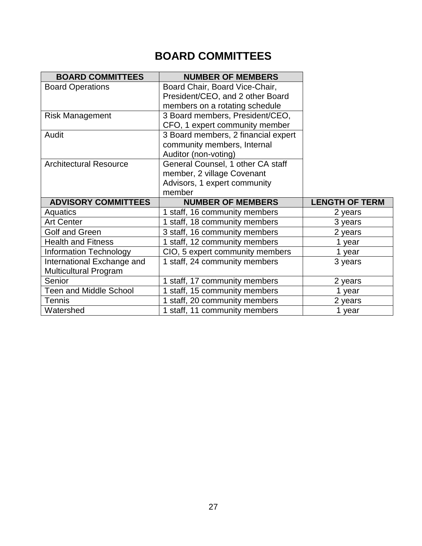# **BOARD COMMITTEES**

| <b>BOARD COMMITTEES</b>       | <b>NUMBER OF MEMBERS</b>            |                       |
|-------------------------------|-------------------------------------|-----------------------|
| <b>Board Operations</b>       | Board Chair, Board Vice-Chair,      |                       |
|                               | President/CEO, and 2 other Board    |                       |
|                               | members on a rotating schedule      |                       |
| <b>Risk Management</b>        | 3 Board members, President/CEO,     |                       |
|                               | CFO, 1 expert community member      |                       |
| Audit                         | 3 Board members, 2 financial expert |                       |
|                               | community members, Internal         |                       |
|                               | Auditor (non-voting)                |                       |
| <b>Architectural Resource</b> | General Counsel, 1 other CA staff   |                       |
|                               | member, 2 village Covenant          |                       |
|                               | Advisors, 1 expert community        |                       |
|                               | member                              |                       |
|                               |                                     |                       |
| <b>ADVISORY COMMITTEES</b>    | <b>NUMBER OF MEMBERS</b>            | <b>LENGTH OF TERM</b> |
| Aquatics                      | 1 staff, 16 community members       | 2 years               |
| <b>Art Center</b>             | 1 staff, 18 community members       | 3 years               |
| Golf and Green                | 3 staff, 16 community members       | 2 years               |
| <b>Health and Fitness</b>     | 1 staff, 12 community members       | 1 year                |
| <b>Information Technology</b> | CIO, 5 expert community members     | 1 year                |
| International Exchange and    | 1 staff, 24 community members       | 3 years               |
| <b>Multicultural Program</b>  |                                     |                       |
| Senior                        | 1 staff, 17 community members       | 2 years               |
| <b>Teen and Middle School</b> | 1 staff, 15 community members       | 1 year                |
| <b>Tennis</b>                 | 1 staff, 20 community members       | 2 years               |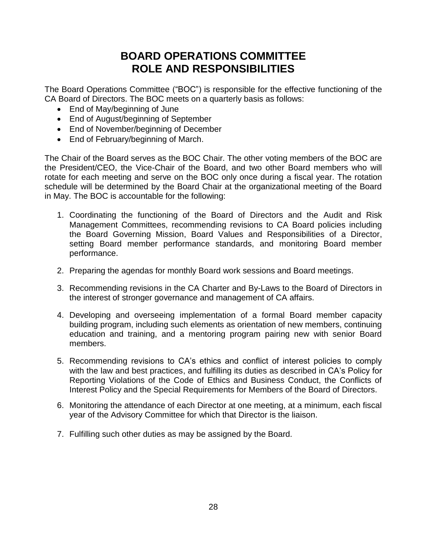### **BOARD OPERATIONS COMMITTEE ROLE AND RESPONSIBILITIES**

The Board Operations Committee ("BOC") is responsible for the effective functioning of the CA Board of Directors. The BOC meets on a quarterly basis as follows:

- End of May/beginning of June
- End of August/beginning of September
- End of November/beginning of December
- End of February/beginning of March.

The Chair of the Board serves as the BOC Chair. The other voting members of the BOC are the President/CEO, the Vice-Chair of the Board, and two other Board members who will rotate for each meeting and serve on the BOC only once during a fiscal year. The rotation schedule will be determined by the Board Chair at the organizational meeting of the Board in May. The BOC is accountable for the following:

- 1. Coordinating the functioning of the Board of Directors and the Audit and Risk Management Committees, recommending revisions to CA Board policies including the Board Governing Mission, Board Values and Responsibilities of a Director, setting Board member performance standards, and monitoring Board member performance.
- 2. Preparing the agendas for monthly Board work sessions and Board meetings.
- 3. Recommending revisions in the CA Charter and By-Laws to the Board of Directors in the interest of stronger governance and management of CA affairs.
- 4. Developing and overseeing implementation of a formal Board member capacity building program, including such elements as orientation of new members, continuing education and training, and a mentoring program pairing new with senior Board members.
- 5. Recommending revisions to CA's ethics and conflict of interest policies to comply with the law and best practices, and fulfilling its duties as described in CA's Policy for Reporting Violations of the Code of Ethics and Business Conduct, the Conflicts of Interest Policy and the Special Requirements for Members of the Board of Directors.
- 6. Monitoring the attendance of each Director at one meeting, at a minimum, each fiscal year of the Advisory Committee for which that Director is the liaison.
- 7. Fulfilling such other duties as may be assigned by the Board.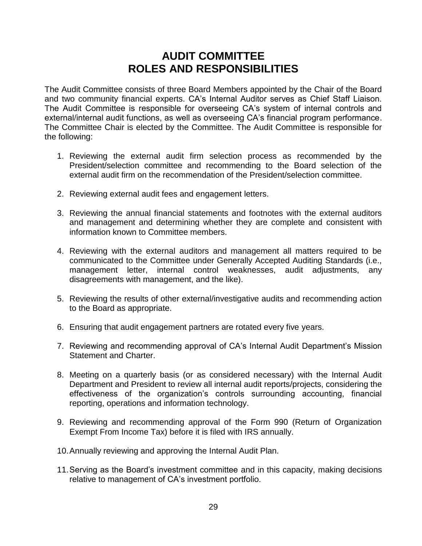### **AUDIT COMMITTEE ROLES AND RESPONSIBILITIES**

The Audit Committee consists of three Board Members appointed by the Chair of the Board and two community financial experts. CA's Internal Auditor serves as Chief Staff Liaison. The Audit Committee is responsible for overseeing CA's system of internal controls and external/internal audit functions, as well as overseeing CA's financial program performance. The Committee Chair is elected by the Committee. The Audit Committee is responsible for the following:

- 1. Reviewing the external audit firm selection process as recommended by the President/selection committee and recommending to the Board selection of the external audit firm on the recommendation of the President/selection committee.
- 2. Reviewing external audit fees and engagement letters.
- 3. Reviewing the annual financial statements and footnotes with the external auditors and management and determining whether they are complete and consistent with information known to Committee members.
- 4. Reviewing with the external auditors and management all matters required to be communicated to the Committee under Generally Accepted Auditing Standards (i.e., management letter, internal control weaknesses, audit adjustments, any disagreements with management, and the like).
- 5. Reviewing the results of other external/investigative audits and recommending action to the Board as appropriate.
- 6. Ensuring that audit engagement partners are rotated every five years.
- 7. Reviewing and recommending approval of CA's Internal Audit Department's Mission Statement and Charter.
- 8. Meeting on a quarterly basis (or as considered necessary) with the Internal Audit Department and President to review all internal audit reports/projects, considering the effectiveness of the organization's controls surrounding accounting, financial reporting, operations and information technology.
- 9. Reviewing and recommending approval of the Form 990 (Return of Organization Exempt From Income Tax) before it is filed with IRS annually.
- 10.Annually reviewing and approving the Internal Audit Plan.
- 11.Serving as the Board's investment committee and in this capacity, making decisions relative to management of CA's investment portfolio.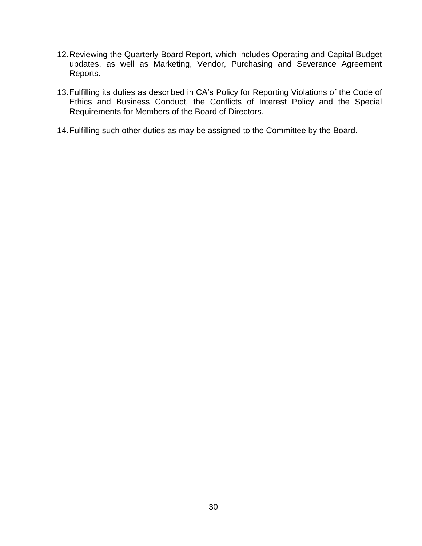- 12.Reviewing the Quarterly Board Report, which includes Operating and Capital Budget updates, as well as Marketing, Vendor, Purchasing and Severance Agreement Reports.
- 13.Fulfilling its duties as described in CA's Policy for Reporting Violations of the Code of Ethics and Business Conduct, the Conflicts of Interest Policy and the Special Requirements for Members of the Board of Directors.
- 14.Fulfilling such other duties as may be assigned to the Committee by the Board.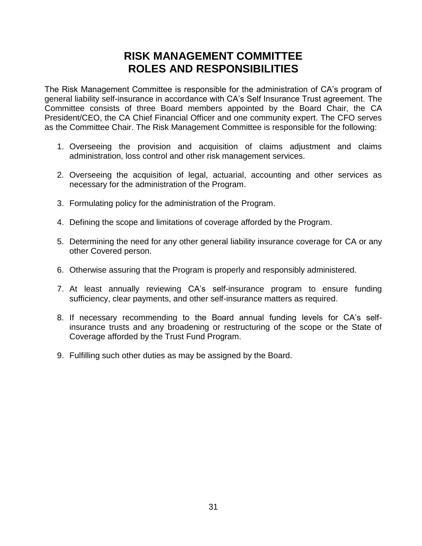### **RISK MANAGEMENT COMMITTEE ROLES AND RESPONSIBILITIES**

The Risk Management Committee is responsible for the administration of CA's program of general liability self-insurance in accordance with CA's Self Insurance Trust agreement. The Committee consists of three Board members appointed by the Board Chair, the CA President/CEO, the CA Chief Financial Officer and one community expert. The CFO serves as the Committee Chair. The Risk Management Committee is responsible for the following:

- 1. Overseeing the provision and acquisition of claims adjustment and claims administration, loss control and other risk management services.
- 2. Overseeing the acquisition of legal, actuarial, accounting and other services as necessary for the administration of the Program.
- 3. Formulating policy for the administration of the Program.
- 4. Defining the scope and limitations of coverage afforded by the Program.
- 5. Determining the need for any other general liability insurance coverage for CA or any other Covered person.
- 6. Otherwise assuring that the Program is properly and responsibly administered.
- 7. At least annually reviewing CA's self-insurance program to ensure funding sufficiency, clear payments, and other self-insurance matters as required.
- 8. If necessary recommending to the Board annual funding levels for CA's selfinsurance trusts and any broadening or restructuring of the scope or the State of Coverage afforded by the Trust Fund Program.
- 9. Fulfilling such other duties as may be assigned by the Board.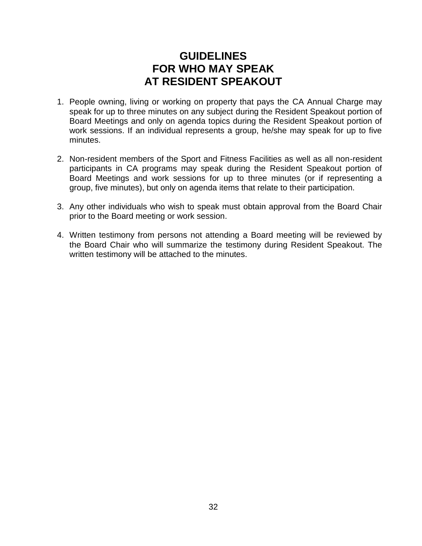### **GUIDELINES FOR WHO MAY SPEAK AT RESIDENT SPEAKOUT**

- 1. People owning, living or working on property that pays the CA Annual Charge may speak for up to three minutes on any subject during the Resident Speakout portion of Board Meetings and only on agenda topics during the Resident Speakout portion of work sessions. If an individual represents a group, he/she may speak for up to five minutes.
- 2. Non-resident members of the Sport and Fitness Facilities as well as all non-resident participants in CA programs may speak during the Resident Speakout portion of Board Meetings and work sessions for up to three minutes (or if representing a group, five minutes), but only on agenda items that relate to their participation.
- 3. Any other individuals who wish to speak must obtain approval from the Board Chair prior to the Board meeting or work session.
- 4. Written testimony from persons not attending a Board meeting will be reviewed by the Board Chair who will summarize the testimony during Resident Speakout. The written testimony will be attached to the minutes.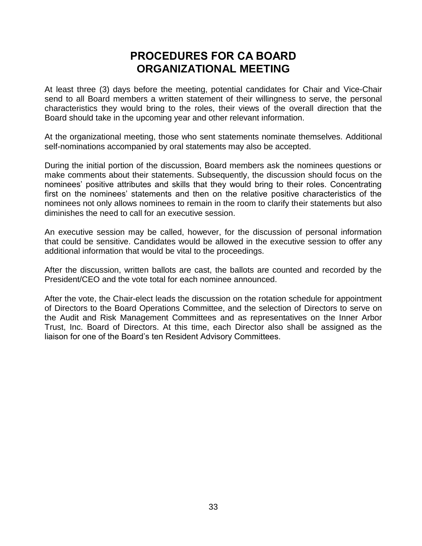### **PROCEDURES FOR CA BOARD ORGANIZATIONAL MEETING**

At least three (3) days before the meeting, potential candidates for Chair and Vice-Chair send to all Board members a written statement of their willingness to serve, the personal characteristics they would bring to the roles, their views of the overall direction that the Board should take in the upcoming year and other relevant information.

At the organizational meeting, those who sent statements nominate themselves. Additional self-nominations accompanied by oral statements may also be accepted.

During the initial portion of the discussion, Board members ask the nominees questions or make comments about their statements. Subsequently, the discussion should focus on the nominees' positive attributes and skills that they would bring to their roles. Concentrating first on the nominees' statements and then on the relative positive characteristics of the nominees not only allows nominees to remain in the room to clarify their statements but also diminishes the need to call for an executive session.

An executive session may be called, however, for the discussion of personal information that could be sensitive. Candidates would be allowed in the executive session to offer any additional information that would be vital to the proceedings.

After the discussion, written ballots are cast, the ballots are counted and recorded by the President/CEO and the vote total for each nominee announced.

After the vote, the Chair-elect leads the discussion on the rotation schedule for appointment of Directors to the Board Operations Committee, and the selection of Directors to serve on the Audit and Risk Management Committees and as representatives on the Inner Arbor Trust, Inc. Board of Directors. At this time, each Director also shall be assigned as the liaison for one of the Board's ten Resident Advisory Committees.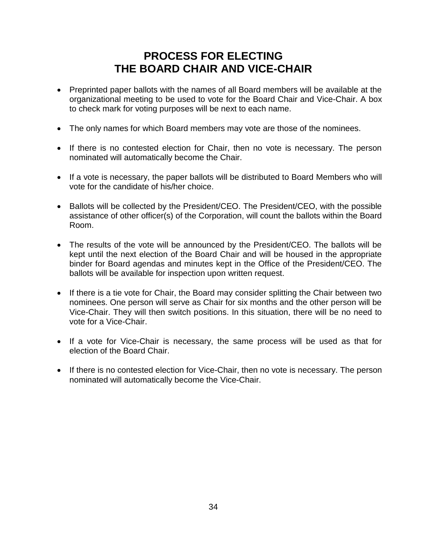### **PROCESS FOR ELECTING THE BOARD CHAIR AND VICE-CHAIR**

- Preprinted paper ballots with the names of all Board members will be available at the organizational meeting to be used to vote for the Board Chair and Vice-Chair. A box to check mark for voting purposes will be next to each name.
- The only names for which Board members may vote are those of the nominees.
- If there is no contested election for Chair, then no vote is necessary. The person nominated will automatically become the Chair.
- If a vote is necessary, the paper ballots will be distributed to Board Members who will vote for the candidate of his/her choice.
- Ballots will be collected by the President/CEO. The President/CEO, with the possible assistance of other officer(s) of the Corporation, will count the ballots within the Board Room.
- The results of the vote will be announced by the President/CEO. The ballots will be kept until the next election of the Board Chair and will be housed in the appropriate binder for Board agendas and minutes kept in the Office of the President/CEO. The ballots will be available for inspection upon written request.
- If there is a tie vote for Chair, the Board may consider splitting the Chair between two nominees. One person will serve as Chair for six months and the other person will be Vice-Chair. They will then switch positions. In this situation, there will be no need to vote for a Vice-Chair.
- If a vote for Vice-Chair is necessary, the same process will be used as that for election of the Board Chair.
- If there is no contested election for Vice-Chair, then no vote is necessary. The person nominated will automatically become the Vice-Chair.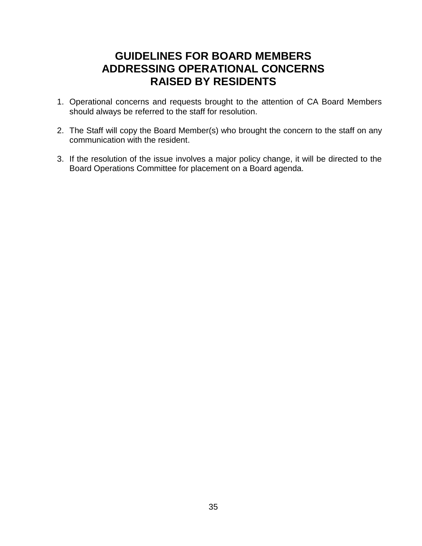### **GUIDELINES FOR BOARD MEMBERS ADDRESSING OPERATIONAL CONCERNS RAISED BY RESIDENTS**

- 1. Operational concerns and requests brought to the attention of CA Board Members should always be referred to the staff for resolution.
- 2. The Staff will copy the Board Member(s) who brought the concern to the staff on any communication with the resident.
- 3. If the resolution of the issue involves a major policy change, it will be directed to the Board Operations Committee for placement on a Board agenda.